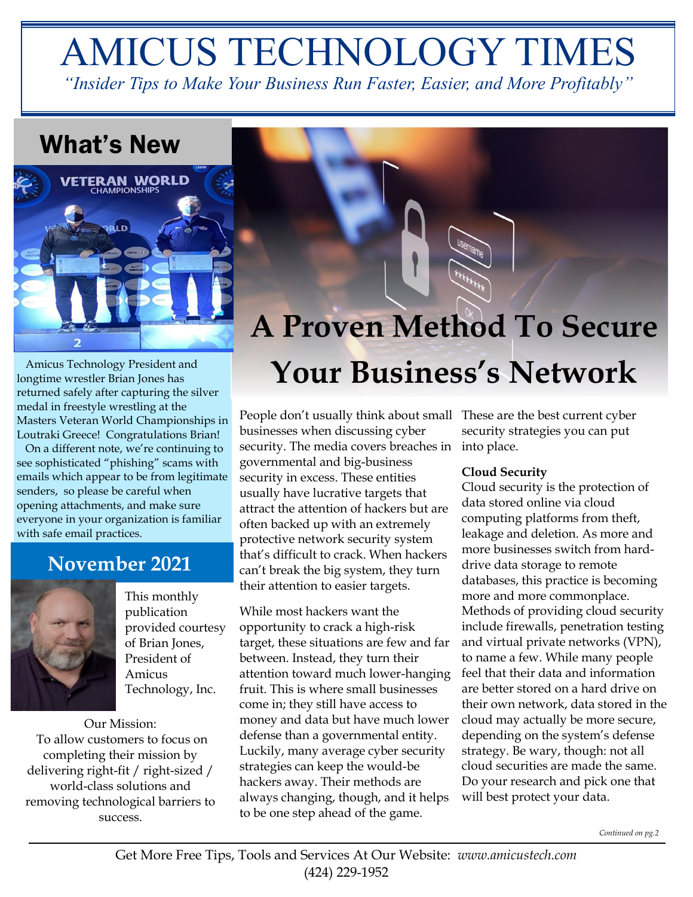# AMICUS TECHNOLOGY TIMES

*"Insider Tips to Make Your Business Run Faster, Easier, and More Profitably"*

## What's New



 Amicus Technology President and longtime wrestler Brian Jones has returned safely after capturing the silver medal in freestyle wrestling at the Masters Veteran World Championships in Loutraki Greece! Congratulations Brian!

 On a different note, we're continuing to see sophisticated "phishing" scams with emails which appear to be from legitimate senders, so please be careful when opening attachments, and make sure everyone in your organization is familiar with safe email practices.

## **November 2021**



This monthly publication provided courtesy of Brian Jones, President of Amicus Technology, Inc.

Our Mission: To allow customers to focus on completing their mission by delivering right-fit / right-sized / world-class solutions and removing technological barriers to success.

# **A Proven Method To Secure Your Business's Network**

People don't usually think about small These are the best current cyber businesses when discussing cyber security. The media covers breaches in into place. governmental and big-business security in excess. These entities usually have lucrative targets that attract the attention of hackers but are often backed up with an extremely protective network security system that's difficult to crack. When hackers can't break the big system, they turn their attention to easier targets.

While most hackers want the opportunity to crack a high-risk target, these situations are few and far between. Instead, they turn their attention toward much lower-hanging fruit. This is where small businesses come in; they still have access to money and data but have much lower defense than a governmental entity. Luckily, many average cyber security strategies can keep the would-be hackers away. Their methods are always changing, though, and it helps to be one step ahead of the game.

security strategies you can put

### **Cloud Security**

Cloud security is the protection of data stored online via cloud computing platforms from theft, leakage and deletion. As more and more businesses switch from harddrive data storage to remote databases, this practice is becoming more and more commonplace. Methods of providing cloud security include firewalls, penetration testing and virtual private networks (VPN), to name a few. While many people feel that their data and information are better stored on a hard drive on their own network, data stored in the cloud may actually be more secure, depending on the system's defense strategy. Be wary, though: not all cloud securities are made the same. Do your research and pick one that will best protect your data.

*Continued on pg.2*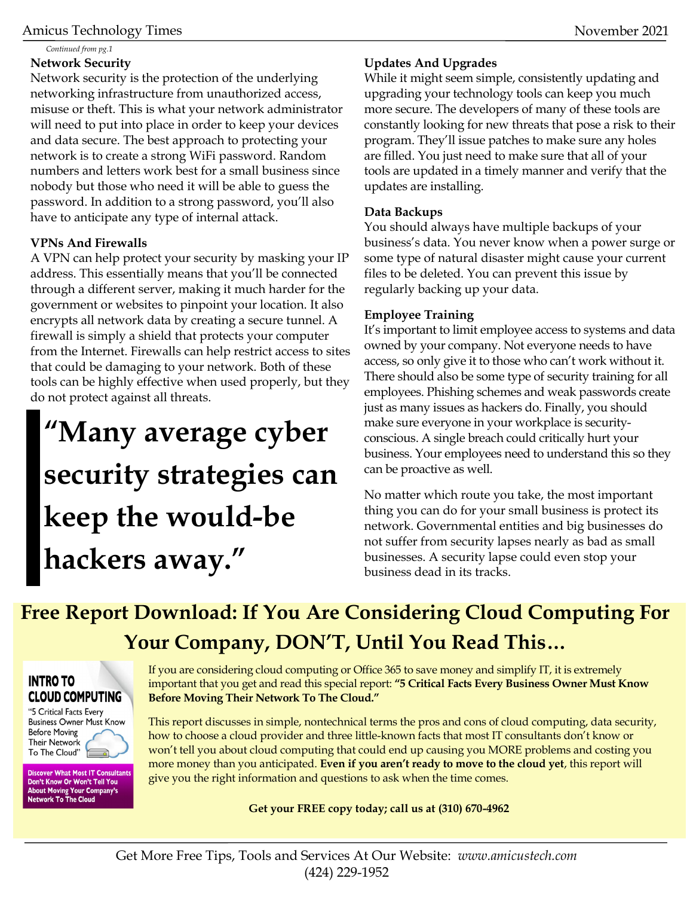*Continued from pg.1*

#### **Network Security**

Network security is the protection of the underlying networking infrastructure from unauthorized access, misuse or theft. This is what your network administrator will need to put into place in order to keep your devices and data secure. The best approach to protecting your network is to create a strong WiFi password. Random numbers and letters work best for a small business since nobody but those who need it will be able to guess the password. In addition to a strong password, you'll also have to anticipate any type of internal attack.

### **VPNs And Firewalls**

A VPN can help protect your security by masking your IP address. This essentially means that you'll be connected through a different server, making it much harder for the government or websites to pinpoint your location. It also encrypts all network data by creating a secure tunnel. A firewall is simply a shield that protects your computer from the Internet. Firewalls can help restrict access to sites that could be damaging to your network. Both of these tools can be highly effective when used properly, but they do not protect against all threats.

## **"Many average cyber security strategies can keep the would-be hackers away."**

### **Updates And Upgrades**

While it might seem simple, consistently updating and upgrading your technology tools can keep you much more secure. The developers of many of these tools are constantly looking for new threats that pose a risk to their program. They'll issue patches to make sure any holes are filled. You just need to make sure that all of your tools are updated in a timely manner and verify that the updates are installing.

#### **Data Backups**

You should always have multiple backups of your business's data. You never know when a power surge or some type of natural disaster might cause your current files to be deleted. You can prevent this issue by regularly backing up your data.

#### **Employee Training**

It's important to limit employee access to systems and data owned by your company. Not everyone needs to have access, so only give it to those who can't work without it. There should also be some type of security training for all employees. Phishing schemes and weak passwords create just as many issues as hackers do. Finally, you should make sure everyone in your workplace is securityconscious. A single breach could critically hurt your business. Your employees need to understand this so they can be proactive as well.

No matter which route you take, the most important thing you can do for your small business is protect its network. Governmental entities and big businesses do not suffer from security lapses nearly as bad as small businesses. A security lapse could even stop your business dead in its tracks.

## **Free Report Download: If You Are Considering Cloud Computing For Your Company, DON'T, Until You Read This…**

## **INTRO TO CLOUD COMPUTING**

"5 Critical Facts Every **Business Owner Must Know Before Moving Their Network** To The Cloud"

Discover What Most IT Consultants<br>Don't Know Or Won't Tell You **About Moving Your Company's Network To The Cloud** 

If you are considering cloud computing or Office 365 to save money and simplify IT, it is extremely important that you get and read this special report: **"5 Critical Facts Every Business Owner Must Know Before Moving Their Network To The Cloud."**

This report discusses in simple, nontechnical terms the pros and cons of cloud computing, data security, how to choose a cloud provider and three little-known facts that most IT consultants don't know or won't tell you about cloud computing that could end up causing you MORE problems and costing you more money than you anticipated. **Even if you aren't ready to move to the cloud yet**, this report will give you the right information and questions to ask when the time comes.

**Get your FREE copy today; call us at (310) 670-4962**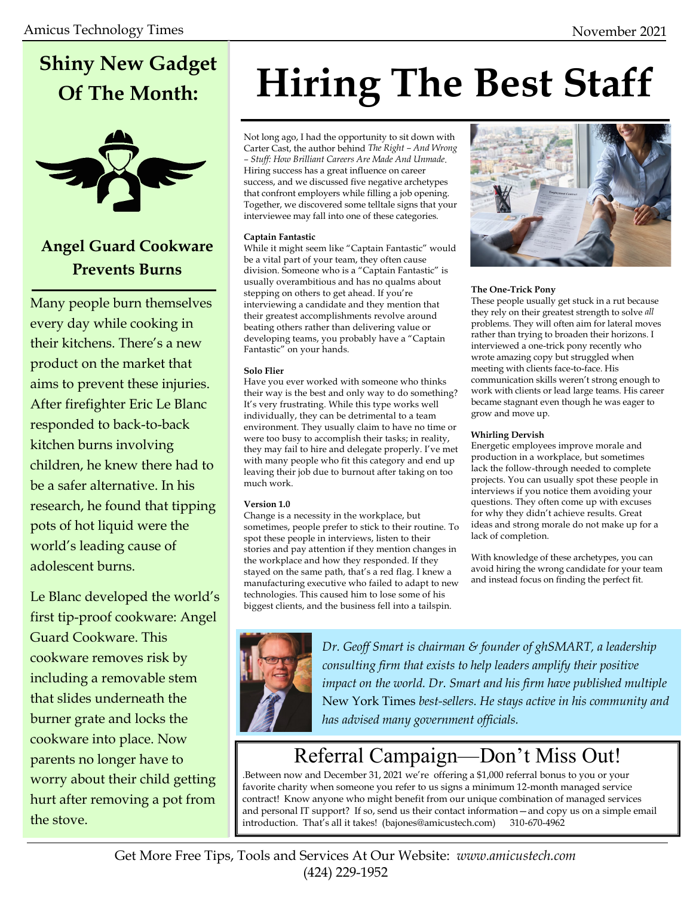## **Shiny New Gadget Of The Month:**



## **Angel Guard Cookware Prevents Burns**

Many people burn themselves every day while cooking in their kitchens. There's a new product on the market that aims to prevent these injuries. After firefighter Eric Le Blanc responded to back-to-back kitchen burns involving children, he knew there had to be a safer alternative. In his research, he found that tipping pots of hot liquid were the world's leading cause of adolescent burns.

Le Blanc developed the world's first tip-proof cookware: Angel Guard Cookware. This cookware removes risk by including a removable stem that slides underneath the burner grate and locks the cookware into place. Now parents no longer have to worry about their child getting hurt after removing a pot from the stove.

# **Hiring The Best Staff**

Not long ago, I had the opportunity to sit down with Carter Cast, the author behind *The Right – And Wrong – Stuff: How Brilliant Careers Are Made And Unmade*. Hiring success has a great influence on career success, and we discussed five negative archetypes that confront employers while filling a job opening. Together, we discovered some telltale signs that your interviewee may fall into one of these categories.

#### **Captain Fantastic**

While it might seem like "Captain Fantastic" would be a vital part of your team, they often cause division. Someone who is a "Captain Fantastic" is usually overambitious and has no qualms about stepping on others to get ahead. If you're interviewing a candidate and they mention that their greatest accomplishments revolve around beating others rather than delivering value or developing teams, you probably have a "Captain Fantastic" on your hands.

#### **Solo Flier**

Have you ever worked with someone who thinks their way is the best and only way to do something? It's very frustrating. While this type works well individually, they can be detrimental to a team environment. They usually claim to have no time or were too busy to accomplish their tasks; in reality, they may fail to hire and delegate properly. I've met with many people who fit this category and end up leaving their job due to burnout after taking on too much work.

#### **Version 1.0**

Change is a necessity in the workplace, but sometimes, people prefer to stick to their routine. To spot these people in interviews, listen to their stories and pay attention if they mention changes in the workplace and how they responded. If they stayed on the same path, that's a red flag. I knew a manufacturing executive who failed to adapt to new technologies. This caused him to lose some of his biggest clients, and the business fell into a tailspin.



#### **The One-Trick Pony**

These people usually get stuck in a rut because they rely on their greatest strength to solve *all* problems. They will often aim for lateral moves rather than trying to broaden their horizons. I interviewed a one-trick pony recently who wrote amazing copy but struggled when meeting with clients face-to-face. His communication skills weren't strong enough to work with clients or lead large teams. His career became stagnant even though he was eager to grow and move up.

#### **Whirling Dervish**

Energetic employees improve morale and production in a workplace, but sometimes lack the follow-through needed to complete projects. You can usually spot these people in interviews if you notice them avoiding your questions. They often come up with excuses for why they didn't achieve results. Great ideas and strong morale do not make up for a lack of completion.

With knowledge of these archetypes, you can avoid hiring the wrong candidate for your team and instead focus on finding the perfect fit.



*Dr. Geoff Smart is chairman & founder of ghSMART, a leadership consulting firm that exists to help leaders amplify their positive impact on the world. Dr. Smart and his firm have published multiple*  New York Times *best-sellers. He stays active in his community and has advised many government officials.*

## Referral Campaign—Don't Miss Out!

.Between now and December 31, 2021 we're offering a \$1,000 referral bonus to you or your favorite charity when someone you refer to us signs a minimum 12-month managed service contract! Know anyone who might benefit from our unique combination of managed services and personal IT support? If so, send us their contact information—and copy us on a simple email introduction. That's all it takes! (bajones@amicustech.com) 310-670-4962